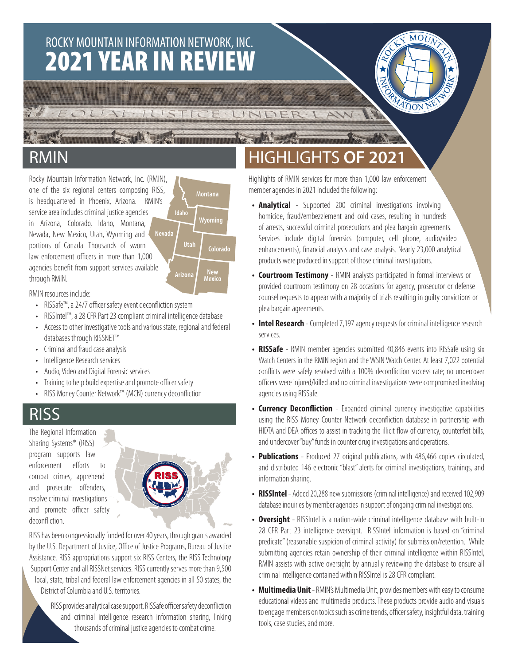# **2021 YEAR IN REVIEW** ROCKY MOUNTAIN INFORMATION NETWORK, INC.

 $1115T1C$ 



### RMIN

Rocky Mountain Information Network, Inc. (RMIN), one of the six regional centers composing RISS, is headquartered in Phoenix, Arizona. RMIN's service area includes criminal justice agencies in Arizona, Colorado, Idaho, Montana, Nevada, New Mexico, Utah, Wyoming and portions of Canada. Thousands of sworn law enforcement officers in more than 1,000 agencies benefit from support services available through RMIN. **Nevada**

**Montana Utah Wyoming Idaho Arizona New Mexico Colorado**

EINDE

### RMIN resources include:

- RISSafe™, a 24/7 officer safety event deconfliction system
- RISSIntel™, a 28 CFR Part 23 compliant criminal intelligence database
- Access to other investigative tools and various state, regional and federal databases through RISSNET™
- Criminal and fraud case analysis
- Intelligence Research services
- Audio, Video and Digital Forensic services
- Training to help build expertise and promote officer safety
- RISS Money Counter Network™ (MCN) currency deconfliction

### RISS

The Regional Information Sharing Systems® (RISS) program supports law enforcement efforts to combat crimes, apprehend and prosecute offenders, resolve criminal investigations and promote officer safety deconfliction.



RISS has been congressionally funded for over 40 years, through grants awarded by the U.S. Department of Justice, Office of Justice Programs, Bureau of Justice Assistance. RISS appropriations support six RISS Centers, the RISS Technology Support Center and all RISSNet services. RISS currently serves more than 9,500 local, state, tribal and federal law enforcement agencies in all 50 states, the District of Columbia and U.S. territories.

> RISS provides analytical case support, RISSafe officer safety deconfliction and criminal intelligence research information sharing, linking thousands of criminal justice agencies to combat crime.

### HIGHLIGHTS **OF 2021**

Highlights of RMIN services for more than 1,000 law enforcement member agencies in 2021 included the following:

- **• Analytical** Supported 200 criminal investigations involving homicide, fraud/embezzlement and cold cases, resulting in hundreds of arrests, successful criminal prosecutions and plea bargain agreements. Services include digital forensics (computer, cell phone, audio/video enhancements), financial analysis and case analysis. Nearly 23,000 analytical products were produced in support of those criminal investigations.
- **• Courtroom Testimony** RMIN analysts participated in formal interviews or provided courtroom testimony on 28 occasions for agency, prosecutor or defense counsel requests to appear with a majority of trials resulting in guilty convictions or plea bargain agreements.
- **• Intel Research** Completed 7,197 agency requests for criminal intelligence research services.
- **• RISSafe** RMIN member agencies submitted 40,846 events into RISSafe using six Watch Centers in the RMIN region and the WSIN Watch Center. At least 7,022 potential conflicts were safely resolved with a 100% deconfliction success rate; no undercover officers were injured/killed and no criminal investigations were compromised involving agencies using RISSafe.
- **• Currency Deconfliction** Expanded criminal currency investigative capabilities using the RISS Money Counter Network deconfliction database in partnership with HIDTA and DEA offices to assist in tracking the illicit flow of currency, counterfeit bills, and undercover "buy" funds in counter drug investigations and operations.
- **• Publications** Produced 27 original publications, with 486,466 copies circulated, and distributed 146 electronic "blast" alerts for criminal investigations, trainings, and information sharing.
- **• RISSIntel** Added 20,288 new submissions (criminal intelligence) and received 102,909 database inquiries by member agencies in support of ongoing criminal investigations.
- **• Oversight** RISSIntel is a nation-wide criminal intelligence database with built-in 28 CFR Part 23 intelligence oversight. RISSIntel information is based on "criminal predicate" (reasonable suspicion of criminal activity) for submission/retention. While submitting agencies retain ownership of their criminal intelligence within RISSIntel, RMIN assists with active oversight by annually reviewing the database to ensure all criminal intelligence contained within RISSIntel is 28 CFR compliant.
- **• Multimedia Unit**  RMIN's Multimedia Unit, provides members with easy to consume educational videos and multimedia products. These products provide audio and visuals to engage members on topics such as crime trends, officer safety, insightful data, training tools, case studies, and more.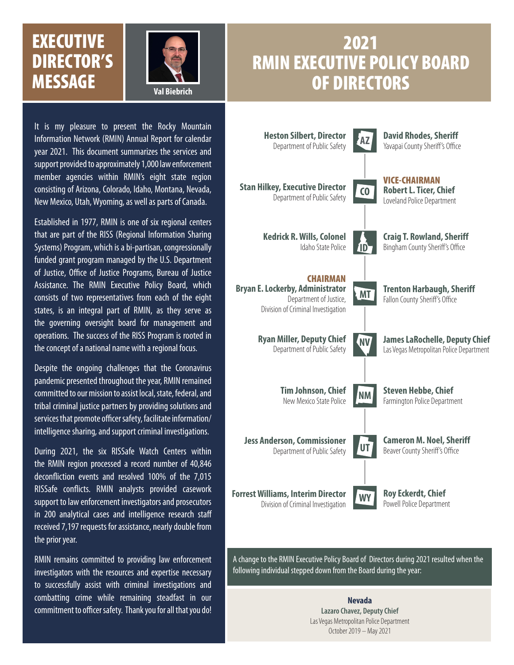### **EXECUTIVE** DIRECTOR'S MESSAGE **Val Biebrich**



### 2021 RMIN EXECUTIVE POLICY BOARD OF DIRECTORS

It is my pleasure to present the Rocky Mountain Information Network (RMIN) Annual Report for calendar year 2021. This document summarizes the services and support provided to approximately 1,000 law enforcement member agencies within RMIN's eight state region consisting of Arizona, Colorado, Idaho, Montana, Nevada, New Mexico, Utah, Wyoming, as well as parts of Canada.

Established in 1977, RMIN is one of six regional centers that are part of the RISS (Regional Information Sharing Systems) Program, which is a bi-partisan, congressionally funded grant program managed by the U.S. Department of Justice, Office of Justice Programs, Bureau of Justice Assistance. The RMIN Executive Policy Board, which consists of two representatives from each of the eight states, is an integral part of RMIN, as they serve as the governing oversight board for management and operations. The success of the RISS Program is rooted in the concept of a national name with a regional focus.

Despite the ongoing challenges that the Coronavirus pandemic presented throughout the year, RMIN remained committed to our mission to assist local, state, federal, and tribal criminal justice partners by providing solutions and services that promote officer safety, facilitate information/ intelligence sharing, and support criminal investigations.

During 2021, the six RISSafe Watch Centers within the RMIN region processed a record number of 40,846 deconfliction events and resolved 100% of the 7,015 RISSafe conflicts. RMIN analysts provided casework support to law enforcement investigators and prosecutors in 200 analytical cases and intelligence research staff received 7,197 requests for assistance, nearly double from the prior year.

RMIN remains committed to providing law enforcement investigators with the resources and expertise necessary to successfully assist with criminal investigations and combatting crime while remaining steadfast in our commitment to officer safety. Thank you for all that you do!



A change to the RMIN Executive Policy Board of Directors during 2021 resulted when the following individual stepped down from the Board during the year:

> **Nevada Lazaro Chavez, Deputy Chief** Las Vegas Metropolitan Police Department October 2019 – May 2021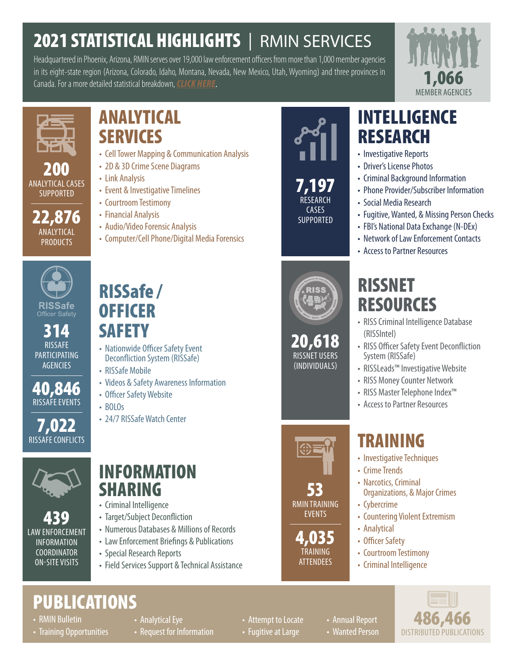# 2021 STATISTICAL HIGHLIGHTS | RMIN SERVICES

Headquartered in Phoenix, Arizona, RMIN serves over 19,000 law enforcement officers from more than 1,000 member agencies in its eight-state region (Arizona, Colorado, Idaho, Montana, Nevada, New Mexico, Utah, Wyoming) and three provinces in Canada. For a more detailed statistical breakdown,*[CLICK HERE](https://extranet.riss.net/public/0f8b5648-8921-4211-bb8d-06d8a8507ec0)*.





200 ANALYTICAL CASES **SUPPORTED** 

22,876 ANALYTICAL PRODUCTS

### ANALYTICAL **SERVICES**

- Cell Tower Mapping & Communication Analysis
- 2D & 3D Crime Scene Diagrams
- Link Analysis
- Event & Investigative Timelines
- Courtroom Testimony
- Financial Analysis

RISSafe /

**OFFICER** 

**SAFETY** 

• RISSafe Mobile

• BOLOs

• Officer Safety Website

• 24/7 RISSafe Watch Center

• Audio/Video Forensic Analysis

• Nationwide Officer Safety Event Deconfliction System (RISSafe)

• Videos & Safety Awareness Information

• Computer/Cell Phone/Digital Media Forensics



RISSafe Officer Safety

314 RISSAFE **PARTICIPATING AGENCIES** 

40,846 RISSAFE EVENTS

7,022 RISSAFE CONFLICTS



439 LAW ENFORCEMENT INFORMATION COORDINATOR ON-SITE VISITS

### INFORMATION SHARING

- Criminal Intelligence
- Target/Subject Deconfliction
- Numerous Databases & Millions of Records
- Law Enforcement Briefings & Publications
- Special Research Reports
- Field Services Support & Technical Assistance



RESEARCH CASES **SUPPORTED** 

### INTELLIGENCE RESEARCH

- Investigative Reports
- Driver's License Photos
- Criminal Background Information
- Phone Provider/Subscriber Information
- Social Media Research
- Fugitive, Wanted, & Missing Person Checks
- FBI's National Data Exchange (N-DEx)
- Network of Law Enforcement Contacts
- Access to Partner Resources

# RISSNET **RESOURCES**

- RISS Criminal Intelligence Database (RISSIntel)
- RISS Officer Safety Event Deconfliction System (RISSafe)
- RISSLeads™ Investigative Website
- RISS Money Counter Network
- RISS Master Telephone Index™
- Access to Partner Resources

# TRAINING

- Investigative Techniques
- Crime Trends
- Narcotics, Criminal
- Organizations, & Major Crimes
- Cybercrime
- Countering Violent Extremism
- Analytical
- Officer Safety
- Courtroom Testimony
- Criminal Intelligence

**PUBLICATIONS** 

- RMIN Bulletin
- Training Opportunities
- Analytical Eye
- Request for Information

• Attempt to Locate

• Fugitive at Large

• Annual Report • Wanted Person



53

20,618 RISSNET USERS (INDIVIDUALS)

RMIN TRAINING EVENTS

4,035 TRAINING **ATTENDEES**